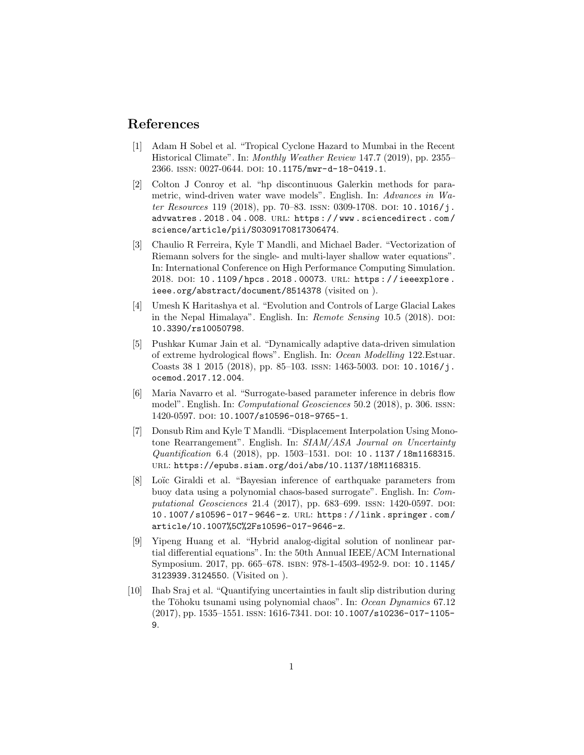## References

- [1] Adam H Sobel et al. "Tropical Cyclone Hazard to Mumbai in the Recent Historical Climate". In: Monthly Weather Review 147.7 (2019), pp. 2355– 2366. ISSN: 0027-0644. DOI: 10.1175/mwr-d-18-0419.1.
- [2] Colton J Conroy et al. "hp discontinuous Galerkin methods for parametric, wind-driven water wave models". English. In: Advances in Water Resources 119 (2018), pp. 70–83. ISSN: 0309-1708. DOI: 10.1016/j. advwatres . 2018 . 04 . 008. url: https : / / www . sciencedirect . com / science/article/pii/S0309170817306474.
- [3] Chaulio R Ferreira, Kyle T Mandli, and Michael Bader. "Vectorization of Riemann solvers for the single- and multi-layer shallow water equations". In: International Conference on High Performance Computing Simulation. 2018. DOI: 10.1109/hpcs. 2018. 00073. URL: https://ieeexplore. ieee.org/abstract/document/8514378 (visited on ).
- [4] Umesh K Haritashya et al. "Evolution and Controls of Large Glacial Lakes in the Nepal Himalaya". English. In:  $Remote\ Sensing\ 10.5\ (2018)$ . DOI: 10.3390/rs10050798.
- [5] Pushkar Kumar Jain et al. "Dynamically adaptive data-driven simulation of extreme hydrological flows". English. In: Ocean Modelling 122.Estuar. Coasts 38 1 2015 (2018), pp. 85-103. ISSN: 1463-5003. DOI: 10.1016/j. ocemod.2017.12.004.
- [6] Maria Navarro et al. "Surrogate-based parameter inference in debris flow model". English. In: Computational Geosciences 50.2 (2018), p. 306. issn: 1420-0597. doi: 10.1007/s10596-018-9765-1.
- [7] Donsub Rim and Kyle T Mandli. "Displacement Interpolation Using Monotone Rearrangement". English. In: SIAM/ASA Journal on Uncertainty Quantification 6.4 (2018), pp. 1503-1531. DOI: 10.1137/18m1168315. url: https://epubs.siam.org/doi/abs/10.1137/18M1168315.
- [8] Loïc Giraldi et al. "Bayesian inference of earthquake parameters from buoy data using a polynomial chaos-based surrogate". English. In: Computational Geosciences 21.4 (2017), pp. 683-699. ISSN: 1420-0597. DOI: 10.1007/s10596- 017- 9646- z. url: https://link.springer.com/ article/10.1007%5C%2Fs10596-017-9646-z.
- [9] Yipeng Huang et al. "Hybrid analog-digital solution of nonlinear partial differential equations". In: the 50th Annual IEEE/ACM International Symposium. 2017, pp. 665–678. isbn: 978-1-4503-4952-9. doi: 10.1145/ 3123939.3124550. (Visited on ).
- [10] Ihab Sraj et al. "Quantifying uncertainties in fault slip distribution during the Tōhoku tsunami using polynomial chaos". In: Ocean Dynamics 67.12  $(2017)$ , pp. 1535–1551. ISSN: 1616-7341. DOI: 10.1007/s10236-017-1105-9.